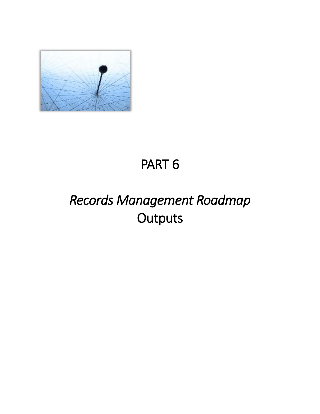

# PART 6

# *Records Management Roadmap*  **Outputs**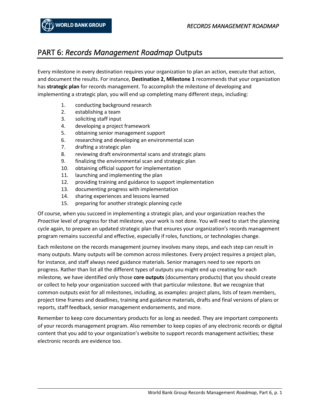### PART 6: *Records Management Roadmap* Outputs

Every milestone in every destination requires your organization to plan an action, execute that action, and document the results. For instance, **Destination 2, Milestone 1** recommends that your organization has **strategic plan** for records management. To accomplish the milestone of developing and implementing a strategic plan, you will end up completing many different steps, including:

- 1. conducting background research
- 2. establishing a team
- 3. soliciting staff input
- 4. developing a project framework
- 5. obtaining senior management support
- 6. researching and developing an environmental scan
- 7. drafting a strategic plan
- 8. reviewing draft environmental scans and strategic plans
- 9. finalizing the environmental scan and strategic plan
- 10. obtaining official support for implementation
- 11. launching and implementing the plan
- 12. providing training and guidance to support implementation
- 13. documenting progress with implementation
- 14. sharing experiences and lessons learned
- 15. preparing for another strategic planning cycle

Of course, when you succeed in implementing a strategic plan, and your organization reaches the *Proactive* level of progress for that milestone, your work is not done. You will need to start the planning cycle again, to prepare an updated strategic plan that ensures your organization's records management program remains successful and effective, especially if roles, functions, or technologies change.

Each milestone on the records management journey involves many steps, and each step can result in many outputs. Many outputs will be common across milestones. Every project requires a project plan, for instance, and staff always need guidance materials. Senior managers need to see reports on progress. Rather than list all the different types of outputs you might end up creating for each milestone*,* we have identified only those **core outputs** (documentary products) that you should create or collect to help your organization succeed with that particular milestone. But we recognize that common outputs exist for all milestones, including, as examples: project plans, lists of team members, project time frames and deadlines, training and guidance materials, drafts and final versions of plans or reports, staff feedback, senior management endorsements, and more.

Remember to keep core documentary products for as long as needed. They are important components of your records management program. Also remember to keep copies of any electronic records or digital content that you add to your organization's website to support records management activities; these electronic records are evidence too.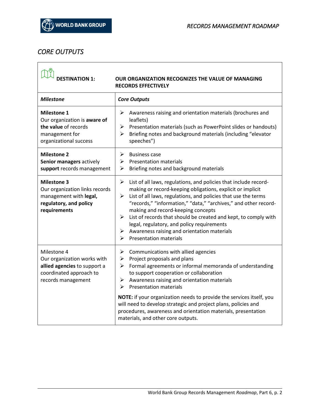### *CORE OUTPUTS*

 $\overline{\phantom{a}}$ 

| <b>DESTINATION 1:</b>                                                                                                       | OUR ORGANIZATION RECOGNIZES THE VALUE OF MANAGING<br><b>RECORDS EFFECTIVELY</b>                                                                                                                                                                                                                                                                                                                                                                                                                                                     |
|-----------------------------------------------------------------------------------------------------------------------------|-------------------------------------------------------------------------------------------------------------------------------------------------------------------------------------------------------------------------------------------------------------------------------------------------------------------------------------------------------------------------------------------------------------------------------------------------------------------------------------------------------------------------------------|
| <b>Milestone</b>                                                                                                            | <b>Core Outputs</b>                                                                                                                                                                                                                                                                                                                                                                                                                                                                                                                 |
| <b>Milestone 1</b><br>Our organization is aware of<br>the value of records<br>management for<br>organizational success      | ➤<br>Awareness raising and orientation materials (brochures and<br>leaflets)<br>Presentation materials (such as PowerPoint slides or handouts)<br>➤<br>Briefing notes and background materials (including "elevator<br>≻<br>speeches")                                                                                                                                                                                                                                                                                              |
| <b>Milestone 2</b><br>Senior managers actively<br>support records management                                                | <b>Business case</b><br>⋗<br>⋗<br><b>Presentation materials</b><br>Briefing notes and background materials<br>➤                                                                                                                                                                                                                                                                                                                                                                                                                     |
| <b>Milestone 3</b><br>Our organization links records<br>management with legal,<br>regulatory, and policy<br>requirements    | ➤<br>List of all laws, regulations, and policies that include record-<br>making or record-keeping obligations, explicit or implicit<br>List of all laws, regulations, and policies that use the terms<br>➤<br>"records," "information," "data," "archives," and other record-<br>making and record-keeping concepts<br>➤<br>List of records that should be created and kept, to comply with<br>legal, regulatory, and policy requirements<br>Awareness raising and orientation materials<br>➤<br><b>Presentation materials</b><br>⋗ |
| Milestone 4<br>Our organization works with<br>allied agencies to support a<br>coordinated approach to<br>records management | Communications with allied agencies<br>➤<br>Project proposals and plans<br>➤<br>➤<br>Formal agreements or informal memoranda of understanding<br>to support cooperation or collaboration<br>Awareness raising and orientation materials<br>⋗<br><b>Presentation materials</b><br>⋗<br>NOTE: if your organization needs to provide the services itself, you<br>will need to develop strategic and project plans, policies and<br>procedures, awareness and orientation materials, presentation<br>materials, and other core outputs. |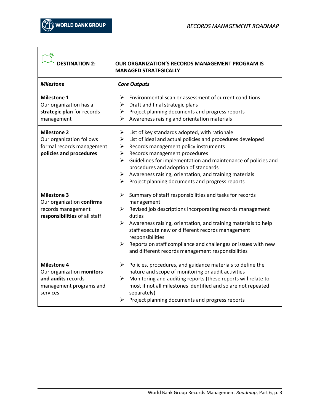| <b>DESTINATION 2:</b>                                                                                        | <b>OUR ORGANIZATION'S RECORDS MANAGEMENT PROGRAM IS</b><br><b>MANAGED STRATEGICALLY</b>                                                                                                                                                                                                                                                                                                                                                        |
|--------------------------------------------------------------------------------------------------------------|------------------------------------------------------------------------------------------------------------------------------------------------------------------------------------------------------------------------------------------------------------------------------------------------------------------------------------------------------------------------------------------------------------------------------------------------|
| <b>Milestone</b>                                                                                             | <b>Core Outputs</b>                                                                                                                                                                                                                                                                                                                                                                                                                            |
| <b>Milestone 1</b><br>Our organization has a<br>strategic plan for records<br>management                     | Environmental scan or assessment of current conditions<br>➤<br>Draft and final strategic plans<br>➤<br>Project planning documents and progress reports<br>➤<br>Awareness raising and orientation materials<br>⋗                                                                                                                                                                                                                                |
| <b>Milestone 2</b><br>Our organization follows<br>formal records management<br>policies and procedures       | ➤<br>List of key standards adopted, with rationale<br>List of ideal and actual policies and procedures developed<br>➤<br>Records management policy instruments<br>➤<br>Records management procedures<br>➤<br>Guidelines for implementation and maintenance of policies and<br>➤<br>procedures and adoption of standards<br>Awareness raising, orientation, and training materials<br>➤<br>Project planning documents and progress reports<br>➤ |
| <b>Milestone 3</b><br>Our organization confirms<br>records management<br>responsibilities of all staff       | Summary of staff responsibilities and tasks for records<br>➤<br>management<br>Revised job descriptions incorporating records management<br>➤<br>duties<br>≻<br>Awareness raising, orientation, and training materials to help<br>staff execute new or different records management<br>responsibilities<br>Reports on staff compliance and challenges or issues with new<br>➤<br>and different records management responsibilities              |
| <b>Milestone 4</b><br>Our organization monitors<br>and audits records<br>management programs and<br>services | Policies, procedures, and guidance materials to define the<br>➤<br>nature and scope of monitoring or audit activities<br>Monitoring and auditing reports (these reports will relate to<br>➤<br>most if not all milestones identified and so are not repeated<br>separately)<br>Project planning documents and progress reports                                                                                                                 |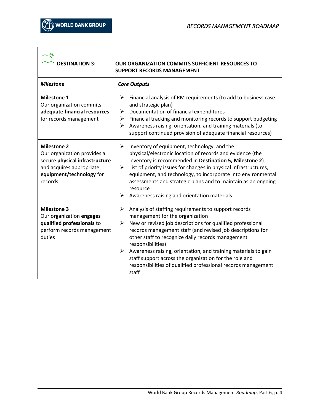| <b>DESTINATION 3:</b>                                                                                                                                  | <b>OUR ORGANIZATION COMMITS SUFFICIENT RESOURCES TO</b><br><b>SUPPORT RECORDS MANAGEMENT</b>                                                                                                                                                                                                                                                                                                                                                                                                                       |
|--------------------------------------------------------------------------------------------------------------------------------------------------------|--------------------------------------------------------------------------------------------------------------------------------------------------------------------------------------------------------------------------------------------------------------------------------------------------------------------------------------------------------------------------------------------------------------------------------------------------------------------------------------------------------------------|
| <b>Milestone</b>                                                                                                                                       | <b>Core Outputs</b>                                                                                                                                                                                                                                                                                                                                                                                                                                                                                                |
| <b>Milestone 1</b><br>Our organization commits<br>adequate financial resources<br>for records management                                               | Financial analysis of RM requirements (to add to business case<br>➤<br>and strategic plan)<br>Documentation of financial expenditures<br>➤<br>Financial tracking and monitoring records to support budgeting<br>➤<br>Awareness raising, orientation, and training materials (to<br>➤<br>support continued provision of adequate financial resources)                                                                                                                                                               |
| <b>Milestone 2</b><br>Our organization provides a<br>secure physical infrastructure<br>and acquires appropriate<br>equipment/technology for<br>records | Inventory of equipment, technology, and the<br>≻<br>physical/electronic location of records and evidence (the<br>inventory is recommended in Destination 5, Milestone 2)<br>List of priority issues for changes in physical infrastructures,<br>≻<br>equipment, and technology, to incorporate into environmental<br>assessments and strategic plans and to maintain as an ongoing<br>resource<br>Awareness raising and orientation materials<br>➤                                                                 |
| <b>Milestone 3</b><br>Our organization engages<br>qualified professionals to<br>perform records management<br>duties                                   | Analysis of staffing requirements to support records<br>➤<br>management for the organization<br>New or revised job descriptions for qualified professional<br>➤<br>records management staff (and revised job descriptions for<br>other staff to recognize daily records management<br>responsibilities)<br>➤<br>Awareness raising, orientation, and training materials to gain<br>staff support across the organization for the role and<br>responsibilities of qualified professional records management<br>staff |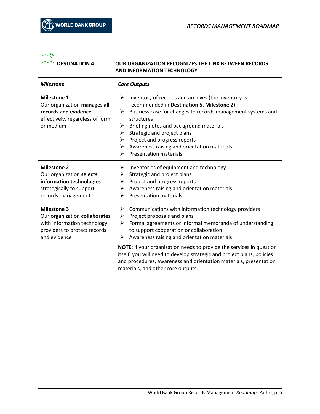| <b>DESTINATION 4:</b><br><b>OUR ORGANIZATION RECOGNIZES THE LINK BETWEEN RECORDS</b><br><b>AND INFORMATION TECHNOLOGY</b>          |                                                                                                                                                                                                                                                                                                                                                                                                                                                                                                                                   |
|------------------------------------------------------------------------------------------------------------------------------------|-----------------------------------------------------------------------------------------------------------------------------------------------------------------------------------------------------------------------------------------------------------------------------------------------------------------------------------------------------------------------------------------------------------------------------------------------------------------------------------------------------------------------------------|
| <b>Milestone</b>                                                                                                                   | <b>Core Outputs</b>                                                                                                                                                                                                                                                                                                                                                                                                                                                                                                               |
| <b>Milestone 1</b><br>Our organization manages all<br>records and evidence<br>effectively, regardless of form<br>or medium         | Inventory of records and archives (the inventory is<br>➤<br>recommended in Destination 5, Milestone 2)<br>Business case for changes to records management systems and<br>➤<br>structures<br>Briefing notes and background materials<br>➤<br>Strategic and project plans<br>➤<br>Project and progress reports<br>➤<br>Awareness raising and orientation materials<br>➤<br><b>Presentation materials</b><br>⋗                                                                                                                       |
| <b>Milestone 2</b><br>Our organization selects<br>information technologies<br>strategically to support<br>records management       | Inventories of equipment and technology<br>➤<br>Strategic and project plans<br>➤<br>Project and progress reports<br>➤<br>Awareness raising and orientation materials<br>➤<br><b>Presentation materials</b><br>⋗                                                                                                                                                                                                                                                                                                                   |
| <b>Milestone 3</b><br>Our organization collaborates<br>with information technology<br>providers to protect records<br>and evidence | ➤<br>Communications with information technology providers<br>Project proposals and plans<br>➤<br>Formal agreements or informal memoranda of understanding<br>⋗<br>to support cooperation or collaboration<br>Awareness raising and orientation materials<br>➤<br><b>NOTE:</b> if your organization needs to provide the services in question<br>itself, you will need to develop strategic and project plans, policies<br>and procedures, awareness and orientation materials, presentation<br>materials, and other core outputs. |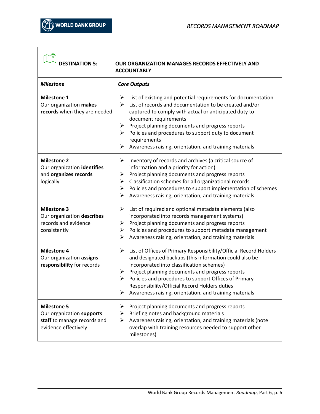| <b>DESTINATION 5:</b>                                                                                  | OUR ORGANIZATION MANAGES RECORDS EFFECTIVELY AND<br><b>ACCOUNTABLY</b>                                                                                                                                                                                                                                                                                                                                                 |
|--------------------------------------------------------------------------------------------------------|------------------------------------------------------------------------------------------------------------------------------------------------------------------------------------------------------------------------------------------------------------------------------------------------------------------------------------------------------------------------------------------------------------------------|
| <b>Milestone</b>                                                                                       | <b>Core Outputs</b>                                                                                                                                                                                                                                                                                                                                                                                                    |
| <b>Milestone 1</b><br>Our organization makes<br>records when they are needed                           | List of existing and potential requirements for documentation<br>➤<br>List of records and documentation to be created and/or<br>➤<br>captured to comply with actual or anticipated duty to<br>document requirements<br>Project planning documents and progress reports<br>➤<br>Policies and procedures to support duty to document<br>≻<br>requirements<br>➤<br>Awareness raising, orientation, and training materials |
| <b>Milestone 2</b><br>Our organization identifies<br>and organizes records<br>logically                | Inventory of records and archives (a critical source of<br>➤<br>information and a priority for action)<br>Project planning documents and progress reports<br>➤<br>Classification schemes for all organizational records<br>➤<br>Policies and procedures to support implementation of schemes<br>➤<br>Awareness raising, orientation, and training materials<br>➤                                                       |
| <b>Milestone 3</b><br>Our organization describes<br>records and evidence<br>consistently               | List of required and optional metadata elements (also<br>➤<br>incorporated into records management systems)<br>Project planning documents and progress reports<br>➤<br>Policies and procedures to support metadata management<br>➤<br>Awareness raising, orientation, and training materials<br>➤                                                                                                                      |
| <b>Milestone 4</b><br>Our organization assigns<br>responsibility for records                           | List of Offices of Primary Responsibility/Official Record Holders<br>➤<br>and designated backups (this information could also be<br>incorporated into classification schemes)<br>Project planning documents and progress reports<br>➤<br>Policies and procedures to support Offices of Primary<br>➤<br>Responsibility/Official Record Holders duties<br>Awareness raising, orientation, and training materials<br>➤    |
| <b>Milestone 5</b><br>Our organization supports<br>staff to manage records and<br>evidence effectively | Project planning documents and progress reports<br>➤<br>Briefing notes and background materials<br>➤<br>Awareness raising, orientation, and training materials (note<br>➤<br>overlap with training resources needed to support other<br>milestones)                                                                                                                                                                    |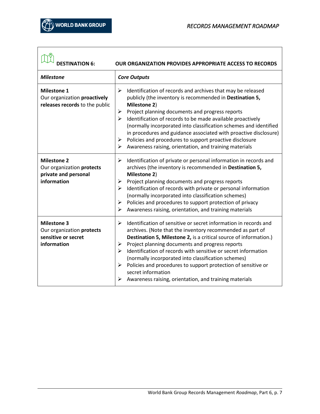| <b>DESTINATION 6:</b>                                                                  | OUR ORGANIZATION PROVIDES APPROPRIATE ACCESS TO RECORDS                                                                                                                                                                                                                                                                                                                                                                                                                                                                                                  |
|----------------------------------------------------------------------------------------|----------------------------------------------------------------------------------------------------------------------------------------------------------------------------------------------------------------------------------------------------------------------------------------------------------------------------------------------------------------------------------------------------------------------------------------------------------------------------------------------------------------------------------------------------------|
| <b>Milestone</b>                                                                       | <b>Core Outputs</b>                                                                                                                                                                                                                                                                                                                                                                                                                                                                                                                                      |
| <b>Milestone 1</b><br>Our organization proactively<br>releases records to the public   | Identification of records and archives that may be released<br>➤<br>publicly (the inventory is recommended in Destination 5,<br>Milestone 2)<br>Project planning documents and progress reports<br>➤<br>Identification of records to be made available proactively<br>➤<br>(normally incorporated into classification schemes and identified<br>in procedures and guidance associated with proactive disclosure)<br>Policies and procedures to support proactive disclosure<br>➤<br>Awareness raising, orientation, and training materials<br>➤          |
| <b>Milestone 2</b><br>Our organization protects<br>private and personal<br>information | Identification of private or personal information in records and<br>➤<br>archives (the inventory is recommended in Destination 5,<br>Milestone 2)<br>Project planning documents and progress reports<br>➤<br>Identification of records with private or personal information<br>⋗<br>(normally incorporated into classification schemes)<br>Policies and procedures to support protection of privacy<br>➤<br>Awareness raising, orientation, and training materials<br>⋗                                                                                  |
| <b>Milestone 3</b><br>Our organization protects<br>sensitive or secret<br>information  | Identification of sensitive or secret information in records and<br>⋗<br>archives. (Note that the inventory recommended as part of<br>Destination 5, Milestone 2, is a critical source of information.)<br>Project planning documents and progress reports<br>➤<br>Identification of records with sensitive or secret information<br>➤<br>(normally incorporated into classification schemes)<br>Policies and procedures to support protection of sensitive or<br>➤<br>secret information<br>Awareness raising, orientation, and training materials<br>➤ |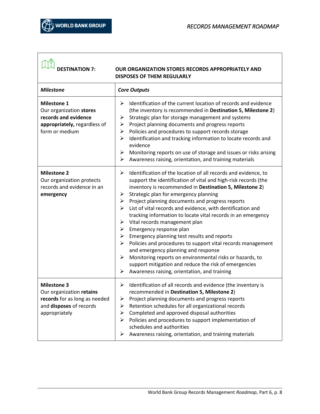| $\boxed{\mathbb{C}^{\mathbb{Q}}_k}$ DESTINATION 7: |                                                          |
|----------------------------------------------------|----------------------------------------------------------|
|                                                    | <b>OUR ORGANIZATION STORES RECORDS APPROPRIATELY AND</b> |
|                                                    | <b>DISPOSES OF THEM REGULARLY</b>                        |

| <b>Milestone</b>                                                                                                            | <b>Core Outputs</b>                                                                                                                                                                                                                                                                                                                                                                                                                                                                                                                                                                                                                                                                                                                                                                                                                                           |
|-----------------------------------------------------------------------------------------------------------------------------|---------------------------------------------------------------------------------------------------------------------------------------------------------------------------------------------------------------------------------------------------------------------------------------------------------------------------------------------------------------------------------------------------------------------------------------------------------------------------------------------------------------------------------------------------------------------------------------------------------------------------------------------------------------------------------------------------------------------------------------------------------------------------------------------------------------------------------------------------------------|
| <b>Milestone 1</b><br>Our organization stores<br>records and evidence<br>appropriately, regardless of<br>form or medium     | Identification of the current location of records and evidence<br>➤<br>(the inventory is recommended in Destination 5, Milestone 2)<br>Strategic plan for storage management and systems<br>➤<br>Project planning documents and progress reports<br>➤<br>Policies and procedures to support records storage<br>➤<br>➤<br>Identification and tracking information to locate records and<br>evidence<br>Monitoring reports on use of storage and issues or risks arising<br>➤<br>Awareness raising, orientation, and training materials<br>➤                                                                                                                                                                                                                                                                                                                    |
| <b>Milestone 2</b><br>Our organization protects<br>records and evidence in an<br>emergency                                  | ≻<br>Identification of the location of all records and evidence, to<br>support the identification of vital and high-risk records (the<br>inventory is recommended in Destination 5, Milestone 2)<br>Strategic plan for emergency planning<br>➤<br>Project planning documents and progress reports<br>➤<br>List of vital records and evidence, with dentification and<br>➤<br>tracking information to locate vital records in an emergency<br>Vital records management plan<br>➤<br>Emergency response plan<br>➤<br>Emergency planning test results and reports<br>➤<br>Policies and procedures to support vital records management<br>➤<br>and emergency planning and response<br>➤<br>Monitoring reports on environmental risks or hazards, to<br>support mitigation and reduce the risk of emergencies<br>➤<br>Awareness raising, orientation, and training |
| <b>Milestone 3</b><br>Our organization retains<br>records for as long as needed<br>and disposes of records<br>appropriately | Identification of all records and evidence (the inventory is<br>➤<br>recommended in Destination 5, Milestone 2)<br>≻<br>Project planning documents and progress reports<br>Retention schedules for all organizational records<br>➤<br>Completed and approved disposal authorities<br>➤<br>Policies and procedures to support implementation of<br>➤<br>schedules and authorities<br>➤<br>Awareness raising, orientation, and training materials                                                                                                                                                                                                                                                                                                                                                                                                               |